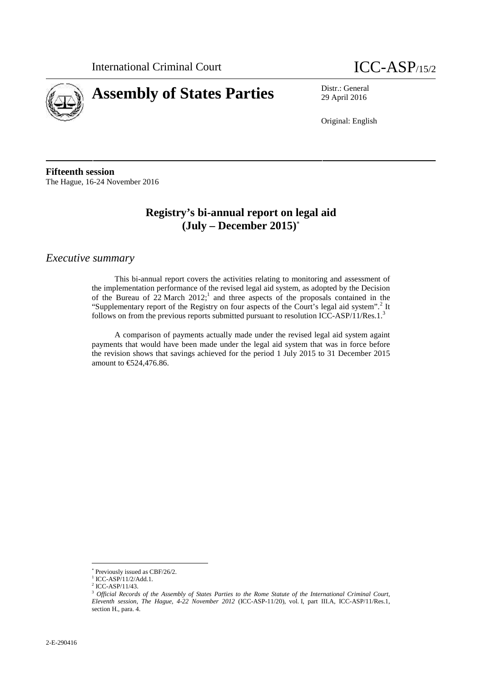



29 April 2016

Original: English

**Fifteenth session** The Hague, 16-24 November 2016

## **Registry's bi-annual report on legal aid (July – December 2015)**

*Executive summary*

This bi-annual report covers the activities relating to monitoring and assessment of the implementation performance of the revised legal aid system, as adopted by the Decision of the Bureau of  $22$  March  $2012$ ;<sup>1</sup> and three aspects of the proposals contained in the "Supplementary report of the Registry on four aspects of the Court's legal aid system".<sup>2</sup> It follows on from the previous reports submitted pursuant to resolution ICC-ASP/11/Res.1.<sup>3</sup>

A comparison of payments actually made under the revised legal aid system againt payments that would have been made under the legal aid system that was in force before the revision shows that savings achieved for the period 1 July 2015 to 31 December 2015 amount to €524,476.86.

Previously issued as CBF/26/2.

<sup>&</sup>lt;sup>1</sup> ICC-ASP/11/2/Add.1.<br><sup>2</sup> ICC-ASP/11/43.

<sup>3</sup> *Official Records of the Assembly of States Parties to the Rome Statute of the International Criminal Court, Eleventh session, The Hague, 4-22 November 2012* (ICC-ASP-11/20), vol. I, part III.A, ICC-ASP/11/Res.1, section H., para. 4.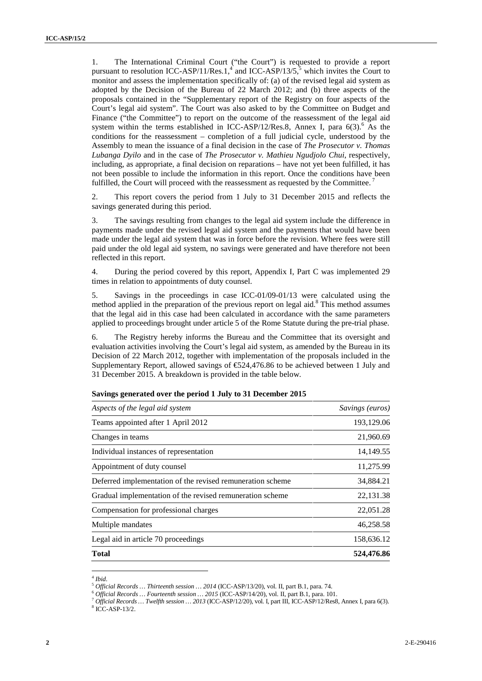1. The International Criminal Court ("the Court") is requested to provide a report pursuant to resolution ICC-ASP/11/Res.1,<sup>4</sup> and ICC-ASP/13/5,<sup>5</sup> which invites the Court to monitor and assess the implementation specifically of: (a) of the revised legal aid system as adopted by the Decision of the Bureau of 22 March 2012; and (b) three aspects of the proposals contained in the "Supplementary report of the Registry on four aspects of the Court's legal aid system". The Court was also asked to by the Committee on Budget and Finance ("the Committee") to report on the outcome of the reassessment of the legal aid system within the terms established in ICC-ASP/12/Res.8, Annex I, para  $6(3)$ .<sup>6</sup> As the conditions for the reassessment – completion of a full judicial cycle, understood by the Assembly to mean the issuance of a final decision in the case of *The Prosecutor v. Thomas Lubanga Dyilo* and in the case of *The Prosecutor v. Mathieu Ngudjolo Chui*, respectively, including, as appropriate, a final decision on reparations – have not yet been fulfilled, it has not been possible to include the information in this report. Once the conditions have been fulfilled, the Court will proceed with the reassessment as requested by the Committee.<sup>7</sup>

2. This report covers the period from 1 July to 31 December 2015 and reflects the savings generated during this period.

3. The savings resulting from changes to the legal aid system include the difference in payments made under the revised legal aid system and the payments that would have been made under the legal aid system that was in force before the revision. Where fees were still paid under the old legal aid system, no savings were generated and have therefore not been reflected in this report.

4. During the period covered by this report, Appendix I, Part C was implemented 29 times in relation to appointments of duty counsel.

5. Savings in the proceedings in case ICC-01/09-01/13 were calculated using the method applied in the preparation of the previous report on legal aid.<sup>8</sup> This method assumes that the legal aid in this case had been calculated in accordance with the same parameters applied to proceedings brought under article 5 of the Rome Statute during the pre-trial phase.

6. The Registry hereby informs the Bureau and the Committee that its oversight and evaluation activities involving the Court's legal aid system, as amended by the Bureau in its Decision of 22 March 2012, together with implementation of the proposals included in the Supplementary Report, allowed savings of  $\epsilon$ 524,476.86 to be achieved between 1 July and 31 December 2015. A breakdown is provided in the table below.

| Aspects of the legal aid system                            | Savings (euros) |
|------------------------------------------------------------|-----------------|
| Teams appointed after 1 April 2012                         | 193,129.06      |
| Changes in teams                                           | 21,960.69       |
| Individual instances of representation                     | 14, 149. 55     |
| Appointment of duty counsel                                | 11,275.99       |
| Deferred implementation of the revised remuneration scheme | 34,884.21       |
| Gradual implementation of the revised remuneration scheme  | 22,131.38       |
| Compensation for professional charges                      | 22,051.28       |
| Multiple mandates                                          | 46,258.58       |
| Legal aid in article 70 proceedings                        | 158,636.12      |
| <b>Total</b>                                               | 524,476.86      |

|  |  |  | Savings generated over the period 1 July to 31 December 2015 |  |
|--|--|--|--------------------------------------------------------------|--|
|--|--|--|--------------------------------------------------------------|--|

<sup>&</sup>lt;sup>4</sup> Ibid.<br><sup>5</sup> Official Records ... Thirteenth session ... 2014 (ICC-ASP/13/20), vol. II, part B.1, para. 74.<br><sup>6</sup> Official Records ... Fourteenth session ... 2015 (ICC-ASP/14/20), vol. II, part B.1, para. 101.<br><sup>7</sup> Official